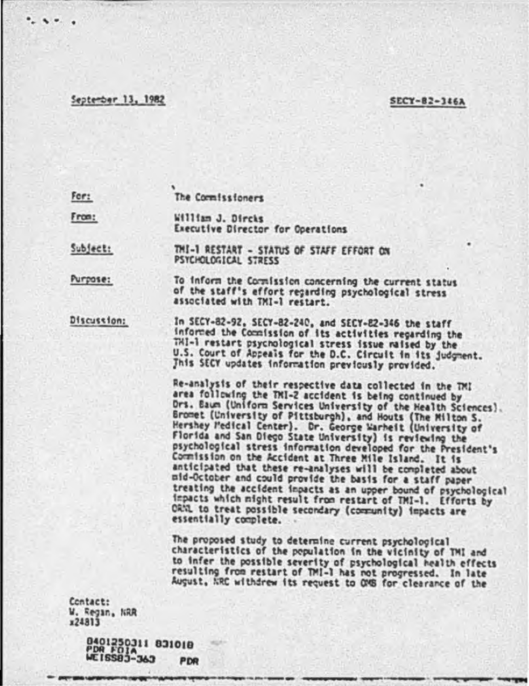## September 13, 1982

## **SECY-82-346A**

For: The Cormissioners

From: William J. Dirchs Executive Director for Operations

Subject: THI-1 RESTART - STATUS OF STAFF EFFORT ON PSYCHOLOGICAL STRESS

Purpose: To inform the Cornission concerning the current status of the staff's effort recarding psychological stress associated with TMI-1 restart.

Discussion: In SECY-82-92, SECY-82-240, and SECY-82-346 the staff<br>informed the Commission of its activities regarding the TMI-1 restart psychological stress issue maised by the<br>U.S. Court of Appeals for the D.C. Circuit in its judgment. This SECY updates information previously provided.

> Re-analysis of their respective data collected in the TMI area following the TMI-2 accident is being continued by Drs. Baum (Uniform Services University of the Health Sciences). Gromet (University of Pittsburgh), and Houts (The Milton S. Hershey Pedical Center). Dr. George Warheit (University of Florida and San Diego State University) is reviewing the psychological stress information developed for the President's Commission on the Accident at Three Mile Island. It is anticipated that these re-analyses will be completed about mid-October and could provide the basis for a staff paper treating the accident inpacts as an upper bound of psychological impacts which might result from restart of TMI-1. Efforts by ORNL to treat possible secondary (community) impacts are essentially complete.

The proposed study to determine current psychological characteristics of the population in the vicinity of TMI and to infer the possible severity of psychological health effects resulting from restart of TMI-1 has not progressed. In late August, ARC withdrew its request to OMS for clearance of the

Contact: W. Regan, NRR x24813

> 0401250311 031010<br>PDR FOIA<br>WEISS03-363 PD PDR